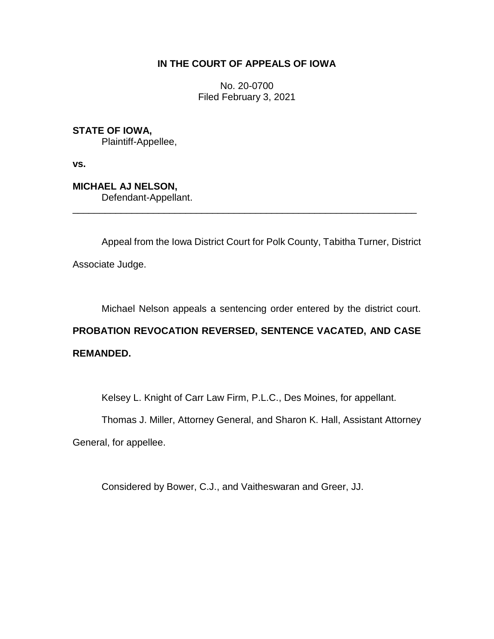## **IN THE COURT OF APPEALS OF IOWA**

No. 20-0700 Filed February 3, 2021

**STATE OF IOWA,** Plaintiff-Appellee,

**vs.**

**MICHAEL AJ NELSON,** Defendant-Appellant.

Appeal from the Iowa District Court for Polk County, Tabitha Turner, District Associate Judge.

\_\_\_\_\_\_\_\_\_\_\_\_\_\_\_\_\_\_\_\_\_\_\_\_\_\_\_\_\_\_\_\_\_\_\_\_\_\_\_\_\_\_\_\_\_\_\_\_\_\_\_\_\_\_\_\_\_\_\_\_\_\_\_\_

Michael Nelson appeals a sentencing order entered by the district court.

## **PROBATION REVOCATION REVERSED, SENTENCE VACATED, AND CASE REMANDED.**

Kelsey L. Knight of Carr Law Firm, P.L.C., Des Moines, for appellant.

Thomas J. Miller, Attorney General, and Sharon K. Hall, Assistant Attorney

General, for appellee.

Considered by Bower, C.J., and Vaitheswaran and Greer, JJ.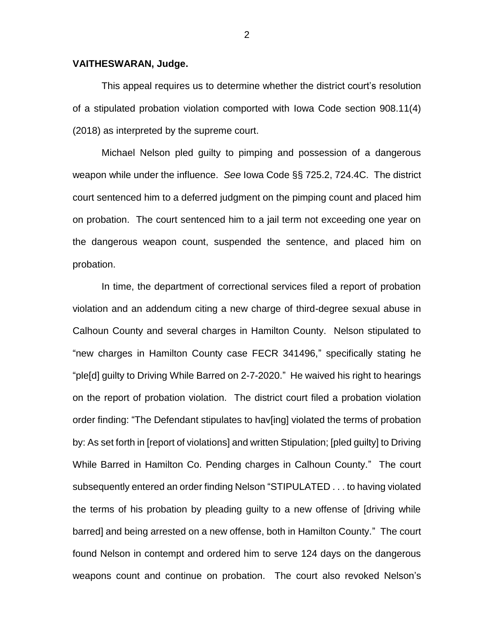## **VAITHESWARAN, Judge.**

This appeal requires us to determine whether the district court's resolution of a stipulated probation violation comported with Iowa Code section 908.11(4) (2018) as interpreted by the supreme court.

Michael Nelson pled guilty to pimping and possession of a dangerous weapon while under the influence. *See* Iowa Code §§ 725.2, 724.4C. The district court sentenced him to a deferred judgment on the pimping count and placed him on probation. The court sentenced him to a jail term not exceeding one year on the dangerous weapon count, suspended the sentence, and placed him on probation.

In time, the department of correctional services filed a report of probation violation and an addendum citing a new charge of third-degree sexual abuse in Calhoun County and several charges in Hamilton County. Nelson stipulated to "new charges in Hamilton County case FECR 341496," specifically stating he "ple[d] guilty to Driving While Barred on 2-7-2020." He waived his right to hearings on the report of probation violation. The district court filed a probation violation order finding: "The Defendant stipulates to hav[ing] violated the terms of probation by: As set forth in [report of violations] and written Stipulation; [pled guilty] to Driving While Barred in Hamilton Co. Pending charges in Calhoun County." The court subsequently entered an order finding Nelson "STIPULATED . . . to having violated the terms of his probation by pleading guilty to a new offense of [driving while barred] and being arrested on a new offense, both in Hamilton County." The court found Nelson in contempt and ordered him to serve 124 days on the dangerous weapons count and continue on probation. The court also revoked Nelson's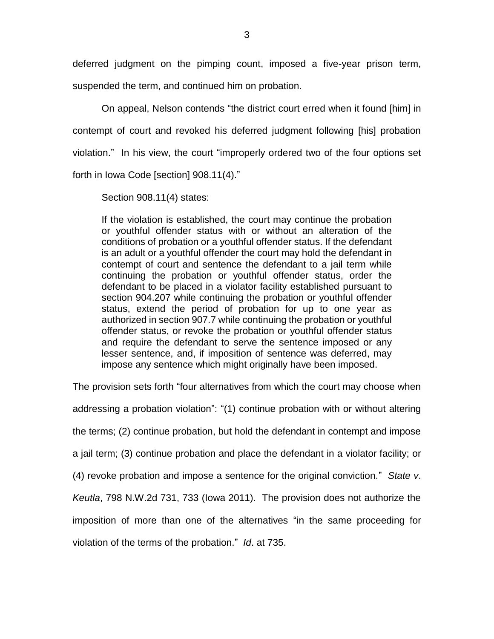deferred judgment on the pimping count, imposed a five-year prison term, suspended the term, and continued him on probation.

On appeal, Nelson contends "the district court erred when it found [him] in contempt of court and revoked his deferred judgment following [his] probation violation." In his view, the court "improperly ordered two of the four options set forth in Iowa Code [section] 908.11(4)."

Section 908.11(4) states:

If the violation is established, the court may continue the probation or youthful offender status with or without an alteration of the conditions of probation or a youthful offender status. If the defendant is an adult or a youthful offender the court may hold the defendant in contempt of court and sentence the defendant to a jail term while continuing the probation or youthful offender status, order the defendant to be placed in a violator facility established pursuant to section 904.207 while continuing the probation or youthful offender status, extend the period of probation for up to one year as authorized in section 907.7 while continuing the probation or youthful offender status, or revoke the probation or youthful offender status and require the defendant to serve the sentence imposed or any lesser sentence, and, if imposition of sentence was deferred, may impose any sentence which might originally have been imposed.

The provision sets forth "four alternatives from which the court may choose when addressing a probation violation": "(1) continue probation with or without altering the terms; (2) continue probation, but hold the defendant in contempt and impose a jail term; (3) continue probation and place the defendant in a violator facility; or (4) revoke probation and impose a sentence for the original conviction." *State v*. *Keutla*, 798 N.W.2d 731, 733 (Iowa 2011). The provision does not authorize the imposition of more than one of the alternatives "in the same proceeding for violation of the terms of the probation." *Id*. at 735.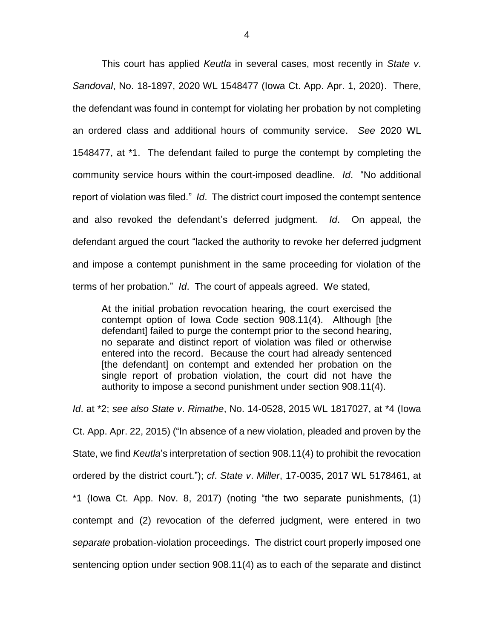This court has applied *Keutla* in several cases, most recently in *State v*. *Sandoval*, No. 18-1897, 2020 WL 1548477 (Iowa Ct. App. Apr. 1, 2020). There, the defendant was found in contempt for violating her probation by not completing an ordered class and additional hours of community service. *See* 2020 WL 1548477, at \*1. The defendant failed to purge the contempt by completing the community service hours within the court-imposed deadline. *Id*. "No additional report of violation was filed." *Id*. The district court imposed the contempt sentence and also revoked the defendant's deferred judgment. *Id*. On appeal, the defendant argued the court "lacked the authority to revoke her deferred judgment and impose a contempt punishment in the same proceeding for violation of the terms of her probation." *Id*. The court of appeals agreed. We stated,

At the initial probation revocation hearing, the court exercised the contempt option of Iowa Code section 908.11(4). Although [the defendant] failed to purge the contempt prior to the second hearing, no separate and distinct report of violation was filed or otherwise entered into the record. Because the court had already sentenced [the defendant] on contempt and extended her probation on the single report of probation violation, the court did not have the authority to impose a second punishment under section 908.11(4).

*Id*. at \*2; *see also State v*. *Rimathe*, No. 14-0528, 2015 WL 1817027, at \*4 (Iowa Ct. App. Apr. 22, 2015) ("In absence of a new violation, pleaded and proven by the State, we find *Keutla*'s interpretation of section 908.11(4) to prohibit the revocation ordered by the district court."); *cf*. *State v*. *Miller*, 17-0035, 2017 WL 5178461, at \*1 (Iowa Ct. App. Nov. 8, 2017) (noting "the two separate punishments, (1) contempt and (2) revocation of the deferred judgment, were entered in two *separate* probation-violation proceedings. The district court properly imposed one sentencing option under section 908.11(4) as to each of the separate and distinct